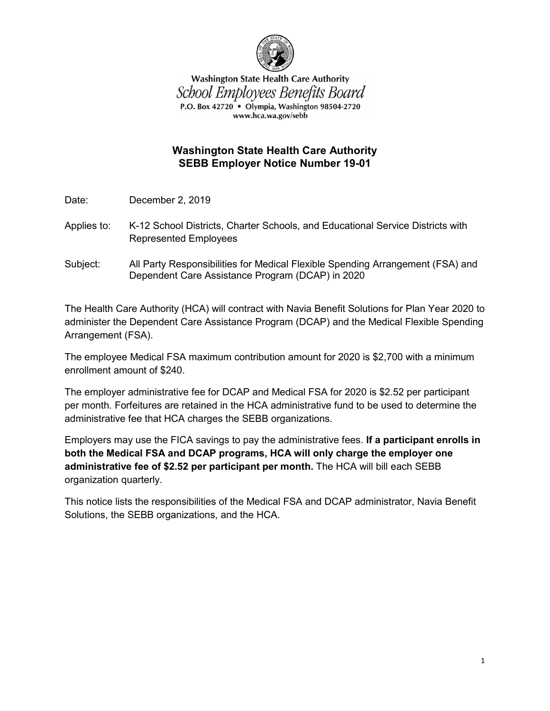

**Washington State Health Care Authority** School Employees Benefits Board P.O. Box 42720 • Olympia, Washington 98504-2720 www.hca.wa.gov/sebb

## **Washington State Health Care Authority SEBB Employer Notice Number 19-01**

Date: December 2, 2019

- Applies to: K-12 School Districts, Charter Schools, and Educational Service Districts with Represented Employees
- Subject: All Party Responsibilities for Medical Flexible Spending Arrangement (FSA) and Dependent Care Assistance Program (DCAP) in 2020

The Health Care Authority (HCA) will contract with Navia Benefit Solutions for Plan Year 2020 to administer the Dependent Care Assistance Program (DCAP) and the Medical Flexible Spending Arrangement (FSA).

The employee Medical FSA maximum contribution amount for 2020 is \$2,700 with a minimum enrollment amount of \$240.

The employer administrative fee for DCAP and Medical FSA for 2020 is \$2.52 per participant per month. Forfeitures are retained in the HCA administrative fund to be used to determine the administrative fee that HCA charges the SEBB organizations.

Employers may use the FICA savings to pay the administrative fees. **If a participant enrolls in both the Medical FSA and DCAP programs, HCA will only charge the employer one administrative fee of \$2.52 per participant per month.** The HCA will bill each SEBB organization quarterly.

This notice lists the responsibilities of the Medical FSA and DCAP administrator, Navia Benefit Solutions, the SEBB organizations, and the HCA.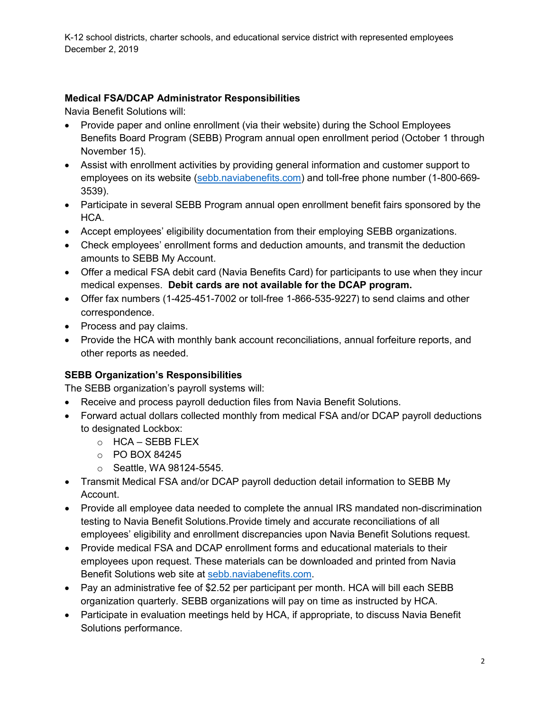K-12 school districts, charter schools, and educational service district with represented employees December 2, 2019

## **Medical FSA/DCAP Administrator Responsibilities**

Navia Benefit Solutions will:

- Provide paper and online enrollment (via their website) during the School Employees Benefits Board Program (SEBB) Program annual open enrollment period (October 1 through November 15).
- Assist with enrollment activities by providing general information and customer support to employees on its website [\(sebb.naviabenefits.com\)](http://sebb.naviabenefits.com/) and toll-free phone number (1-800-669- 3539).
- Participate in several SEBB Program annual open enrollment benefit fairs sponsored by the HCA.
- Accept employees' eligibility documentation from their employing SEBB organizations.
- Check employees' enrollment forms and deduction amounts, and transmit the deduction amounts to SEBB My Account.
- Offer a medical FSA debit card (Navia Benefits Card) for participants to use when they incur medical expenses. **Debit cards are not available for the DCAP program.**
- Offer fax numbers (1-425-451-7002 or toll-free 1-866-535-9227) to send claims and other correspondence.
- Process and pay claims.
- Provide the HCA with monthly bank account reconciliations, annual forfeiture reports, and other reports as needed.

# **SEBB Organization's Responsibilities**

The SEBB organization's payroll systems will:

- Receive and process payroll deduction files from Navia Benefit Solutions.
- Forward actual dollars collected monthly from medical FSA and/or DCAP payroll deductions to designated Lockbox:
	- o HCA SEBB FLEX
	- o PO BOX 84245
	- o Seattle, WA 98124-5545.
- Transmit Medical FSA and/or DCAP payroll deduction detail information to SEBB My Account.
- Provide all employee data needed to complete the annual IRS mandated non-discrimination testing to Navia Benefit Solutions.Provide timely and accurate reconciliations of all employees' eligibility and enrollment discrepancies upon Navia Benefit Solutions request.
- Provide medical FSA and DCAP enrollment forms and educational materials to their employees upon request. These materials can be downloaded and printed from Navia Benefit Solutions web site at [sebb.naviabenefits.com.](http://sebb.naviabenefits.com/)
- Pay an administrative fee of \$2.52 per participant per month. HCA will bill each SEBB organization quarterly. SEBB organizations will pay on time as instructed by HCA.
- Participate in evaluation meetings held by HCA, if appropriate, to discuss Navia Benefit Solutions performance.